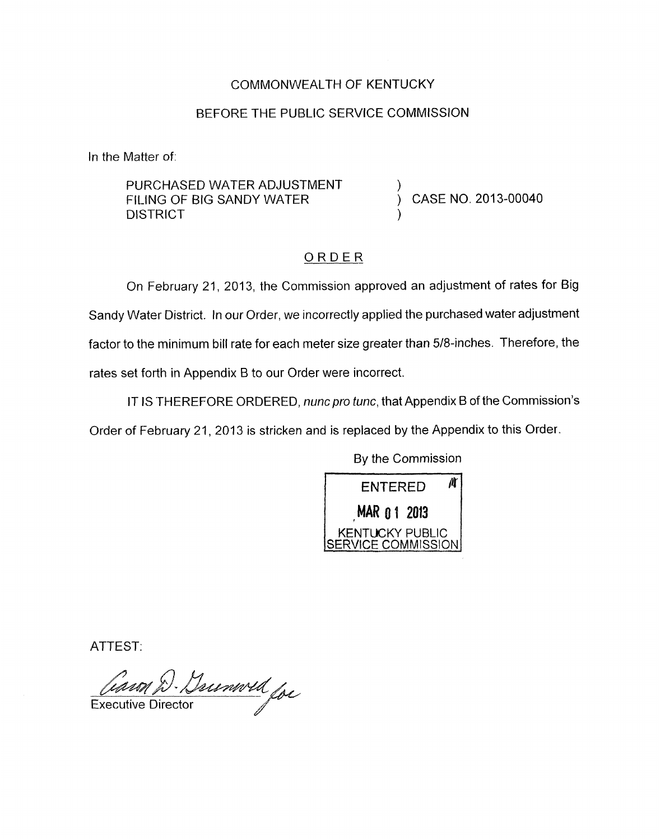### COMMONWEALTH OF KENTUCKY

### BEFORE THE PUBLIC SERVICE COMMISSION

In the Matter of:

PURCHASED WATER ADJUSTMENT **DISTRICT** FILING OF BIG SANDY WATER  $\overrightarrow{)}$  CASE NO. 2013-00040

## ORDER

On February 21, 2013, the Commission approved an adjustment of rates for Big Sandy Water District. In our Order, we incorrectly applied the purchased water adjustment factor to the minimum bill rate for each meter size greater than 5/8-inches. Therefore, the rates set forth in Appendix B to our Order were incorrect.

IT IS 'THEREFORE ORDERED, *nuncpro tunc,* that Appendix B of the Commission's Order of February 21, 2013 is stricken and is replaced by the Appendix to this Order.

By the Commission



ATTEST:

 $\frac{l}{\sqrt{2}}$ 

Executive Director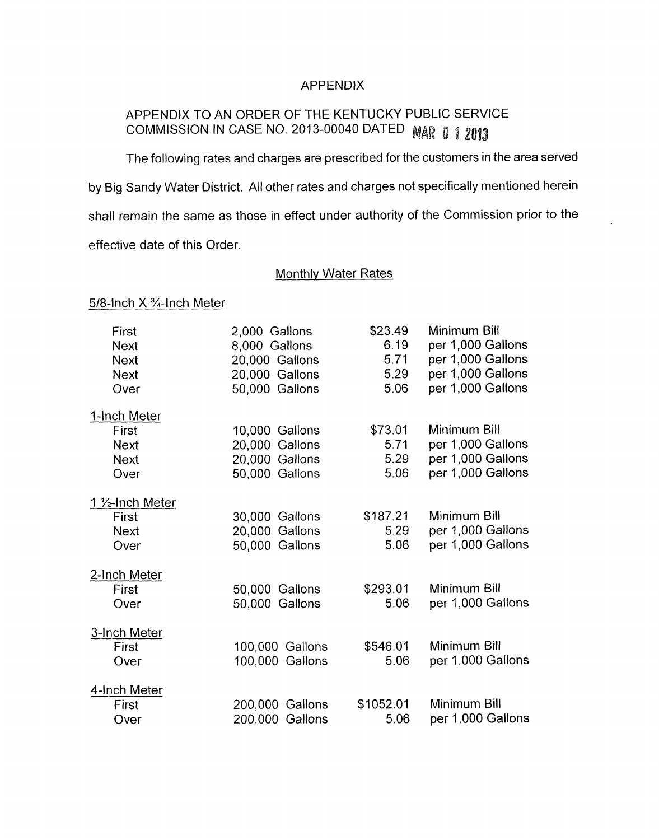#### APPENDIX

# APPENDIX TO AN ORDER OF THE KENTUCKY PUBLIC SERVICE COMMISSION IN CASE NO. 2013-00040 DATED MAR 0 1 2013

The following rates and charges are prescribed for the customers in the area served by Big Sandy Water District. All other rates and charges not specifically mentioned herein shall remain the same as those in effect under authority of the Commission prior to the effective date of this Order.

Monthly Water Rates

## 5/8-Inch X 3/4-Inch Meter

| First<br><b>Next</b><br><b>Next</b><br><b>Next</b><br>Over | 2,000 Gallons<br>8,000 Gallons<br>20,000 Gallons<br>20,000 Gallons<br>50,000 Gallons | \$23.49<br>6.19<br>5.71<br>5.29<br>5.06 | Minimum Bill<br>per 1,000 Gallons<br>per 1,000 Gallons<br>per 1,000 Gallons<br>per 1,000 Gallons |
|------------------------------------------------------------|--------------------------------------------------------------------------------------|-----------------------------------------|--------------------------------------------------------------------------------------------------|
| <u>1-Inch Meter</u>                                        |                                                                                      |                                         |                                                                                                  |
| First                                                      | 10,000 Gallons                                                                       | \$73.01                                 | Minimum Bill                                                                                     |
| <b>Next</b>                                                | 20,000 Gallons                                                                       | 5.71                                    | per 1,000 Gallons                                                                                |
| <b>Next</b>                                                | 20,000 Gallons                                                                       | 5.29                                    | per 1,000 Gallons                                                                                |
| Over                                                       | 50,000 Gallons                                                                       | 5.06                                    | per 1,000 Gallons                                                                                |
| 1 1/ <sub>2</sub> -Inch Meter                              |                                                                                      |                                         |                                                                                                  |
| First                                                      | 30,000 Gallons                                                                       | \$187.21                                | Minimum Bill                                                                                     |
| <b>Next</b>                                                | 20,000 Gallons                                                                       | 5.29                                    | per 1,000 Gallons                                                                                |
| Over                                                       | 50,000 Gallons                                                                       | 5.06                                    | per 1,000 Gallons                                                                                |
| <u>2-Inch Meter</u>                                        |                                                                                      |                                         |                                                                                                  |
| First                                                      | 50,000 Gallons                                                                       | \$293.01                                | Minimum Bill                                                                                     |
| Over                                                       | 50,000 Gallons                                                                       | 5.06                                    | per 1,000 Gallons                                                                                |
| 3-Inch Meter                                               |                                                                                      |                                         |                                                                                                  |
| First                                                      | 100,000 Gallons                                                                      | \$546.01                                | Minimum Bill                                                                                     |
| Over                                                       | 100,000 Gallons                                                                      | 5.06                                    | per 1,000 Gallons                                                                                |
| 4-Inch Meter                                               |                                                                                      |                                         |                                                                                                  |
| First                                                      | 200,000 Gallons                                                                      | \$1052.01                               | Minimum Bill                                                                                     |
| Over                                                       | 200,000 Gallons                                                                      | 5.06                                    | per 1,000 Gallons                                                                                |
|                                                            |                                                                                      |                                         |                                                                                                  |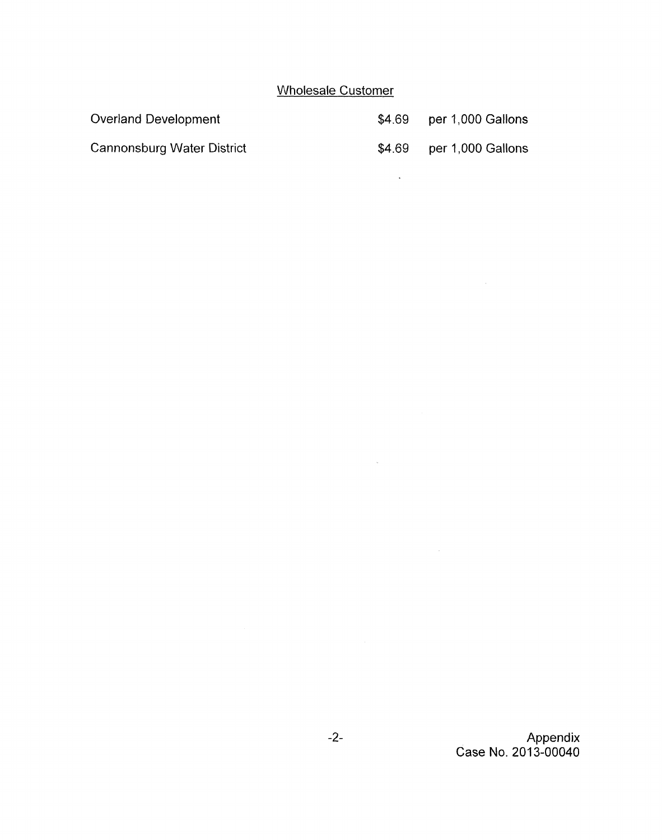# Wholesale Customer

 $\mathcal{L}^{\mathcal{L}}(\mathcal{A})$  .

 $\label{eq:1} \mathbf{w} = \mathbf{w} \mathbf{w} + \mathbf{w} \mathbf{w}$ 

| Overland Development       | \$4.69 | per 1,000 Gallons |
|----------------------------|--------|-------------------|
| Cannonsburg Water District | \$4.69 | per 1,000 Gallons |

-2- Appendix Case No. 2013-00040